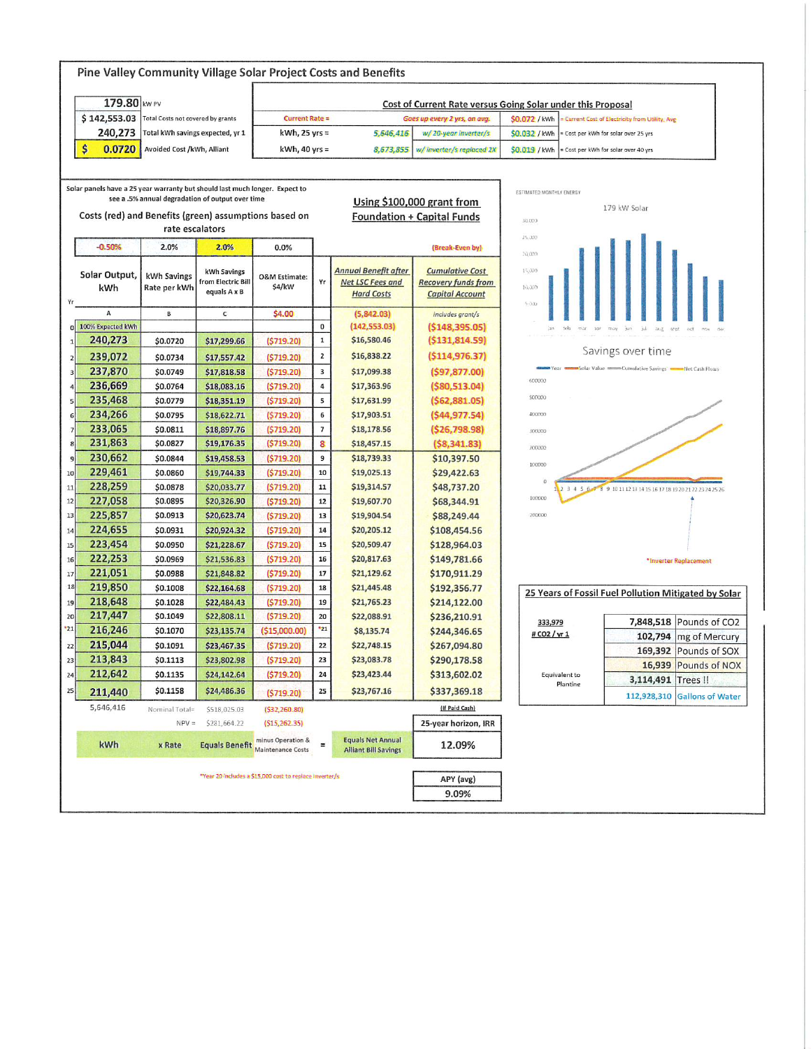| Pine Valley Community Village Solar Project Costs and Benefits |                                                                             |                |                                   |                                                             |                         |                                                         |                                   |                                                                  |               |                                                                    |                                                |
|----------------------------------------------------------------|-----------------------------------------------------------------------------|----------------|-----------------------------------|-------------------------------------------------------------|-------------------------|---------------------------------------------------------|-----------------------------------|------------------------------------------------------------------|---------------|--------------------------------------------------------------------|------------------------------------------------|
| 179.80 kW PV                                                   |                                                                             |                |                                   | Cost of Current Rate versus Going Solar under this Proposal |                         |                                                         |                                   |                                                                  |               |                                                                    |                                                |
|                                                                | \$142,553.03<br>Total Costs not covered by grants                           |                |                                   | <b>Current Rate =</b>                                       |                         |                                                         | Goes up every 2 yrs, on avg.      | \$0.072 / kWh<br>= Current Cost of Electricity from Utility, Avg |               |                                                                    |                                                |
|                                                                | 240,273<br>Total kWh savings expected, yr 1                                 |                | $kWh$ , 25 yrs =                  |                                                             | 5,646,416               | w/20-year inverter/s                                    | \$0.032 / kWh                     | Cost per kWh for solar over 25 yrs                               |               |                                                                    |                                                |
|                                                                | \$<br>0.0720<br>Avoided Cost /kWh, Alliant                                  |                | $kWh$ , 40 yrs =                  |                                                             | 8,673,855               | w/inverter/s replaced 2X                                | \$0.019 / kWh                     | = Cost per kWh for solar over 40 yrs                             |               |                                                                    |                                                |
|                                                                |                                                                             |                |                                   |                                                             |                         |                                                         |                                   |                                                                  |               |                                                                    |                                                |
|                                                                |                                                                             |                |                                   |                                                             |                         |                                                         |                                   |                                                                  |               |                                                                    |                                                |
|                                                                | Solar panels have a 25 year warranty but should last much longer. Expect to |                |                                   |                                                             |                         | ESTIMATED MONTHLY ENERGY                                |                                   |                                                                  |               |                                                                    |                                                |
|                                                                | see a .5% annual degradation of output over time                            |                |                                   |                                                             |                         |                                                         | Using \$100,000 grant from        | 179 kW Solar                                                     |               |                                                                    |                                                |
| Costs (red) and Benefits (green) assumptions based on          |                                                                             |                |                                   |                                                             |                         |                                                         | <b>Foundation + Capital Funds</b> | 30.000                                                           |               |                                                                    |                                                |
| rate escalators                                                |                                                                             |                |                                   |                                                             |                         |                                                         |                                   | 25,330                                                           |               |                                                                    |                                                |
|                                                                | $-0.50%$                                                                    | 2.0%           | 2.0%                              | 0.0%                                                        |                         |                                                         | (Break-Even by)                   | 20,000                                                           |               |                                                                    |                                                |
|                                                                |                                                                             |                |                                   |                                                             |                         | <b>Annual Benefit after</b>                             | <b>Cumulative Cost</b>            | 15,000                                                           |               |                                                                    |                                                |
|                                                                | Solar Output,                                                               | kWh Savings    | kWh Savings<br>from Electric Bill | O&M Estimate:                                               | Yr                      | Net LSC Fees and                                        | <b>Recovery funds from</b>        |                                                                  |               |                                                                    |                                                |
|                                                                | kWh                                                                         | Rate per kWh   | equals A x B                      | \$4/kW                                                      |                         | <b>Hard Costs</b>                                       | <b>Capital Account</b>            | 10.000                                                           |               |                                                                    |                                                |
| Yг                                                             | A                                                                           | $\, {\bf B}$   | $\mathsf{C}$                      | \$4.00                                                      |                         | (5,842.03)                                              | includes grant/s                  | $-9.000$                                                         |               |                                                                    |                                                |
|                                                                | 0 100% Expected kWh                                                         |                |                                   |                                                             | 0                       | (142, 553.03)                                           | (5148, 395.05)                    |                                                                  |               |                                                                    |                                                |
| $\mathbf{1}$                                                   | 240,273                                                                     | \$0.0720       | \$17,299.66                       | (5719.20)                                                   | ${\bf 1}$               | \$16,580.46                                             | (5131, 814.59)                    |                                                                  |               |                                                                    |                                                |
|                                                                | 239,072                                                                     | \$0.0734       |                                   |                                                             | $\mathbf 2$             | \$16,838.22                                             | (5114, 976.37)                    |                                                                  |               | Savings over time                                                  |                                                |
| $\overline{2}$                                                 | 237,870                                                                     | \$0.0749       | \$17,557.42                       | (5719.20)                                                   | $\overline{\mathbf{3}}$ | \$17,099.38                                             |                                   |                                                                  |               |                                                                    |                                                |
| $\vert$                                                        | 236,669                                                                     | \$0.0764       | \$17,818.58                       | (5719.20)<br>(5719.20)                                      | $\sqrt{4}$              | \$17,363.96                                             | (597, 877.00)<br>(580, 513.04)    | 600000                                                           |               |                                                                    |                                                |
| 5 <sup>1</sup>                                                 | 235,468                                                                     | \$0.0779       | \$18,083.16                       | (5719.20)                                                   | 5                       | \$17,631.99                                             | (562, 881.05)                     | 500000                                                           |               |                                                                    |                                                |
|                                                                | 234,266                                                                     | \$0.0795       | \$18,351.19<br>\$18,622.71        | (5719.20)                                                   | 6                       | \$17,903.51                                             | (544, 977.54)                     | 400000                                                           |               |                                                                    |                                                |
| 6                                                              | 233,065                                                                     | \$0.0811       | \$18,897.76                       | (5719.20)                                                   | $\overline{\mathbf{z}}$ | \$18,178.56                                             | (526, 798.98)                     |                                                                  |               |                                                                    |                                                |
| 8 <sup>1</sup>                                                 | 231,863                                                                     | \$0.0827       | \$19,176.35                       | (5719.20)                                                   | 8                       | \$18,457.15                                             | (58, 341.83)                      | 300000                                                           |               |                                                                    |                                                |
| $\overline{9}$                                                 | 230,662                                                                     | \$0.0844       | \$19,458.53                       | (5719.20)                                                   | $\boldsymbol{9}$        | \$18,739.33                                             | \$10,397.50                       | 200000                                                           |               |                                                                    |                                                |
| 10                                                             | 229,461                                                                     | \$0.0860       | \$19,744.33                       | (5719.20)                                                   | 10                      | \$19,025.13                                             | \$29,422.63                       | 100000                                                           |               |                                                                    |                                                |
| $11\,$                                                         | 228,259                                                                     | \$0.0878       | \$20,033.77                       | (5719.20)                                                   | 11                      | \$19,314.57                                             | \$48,737.20                       |                                                                  |               | 2 3 4 5 6 7 8 9 10 11 12 13 14 15 16 17 18 19 20 21 22 23 24 25 26 |                                                |
| $12$                                                           | 227,058                                                                     | \$0.0895       | \$20,326.90                       | (5719.20)                                                   | 12                      | \$19,607.70                                             | \$68,344.91                       | 100000                                                           |               |                                                                    |                                                |
| 13                                                             | 225,857                                                                     | \$0.0913       | \$20,623.74                       | (5719.20)                                                   | 13                      | \$19,904.54                                             | \$88,249.44                       | 200000                                                           |               |                                                                    |                                                |
| 14                                                             | 224,655                                                                     | \$0.0931       | \$20,924.32                       | (5719.20)                                                   | 14                      | \$20,205.12                                             | \$108,454.56                      |                                                                  |               |                                                                    |                                                |
| 15                                                             | 223,454                                                                     | \$0.0950       | \$21,228.67                       | (5719.20)                                                   | 15                      | \$20,509.47                                             | \$128,964.03                      |                                                                  |               |                                                                    |                                                |
| 16                                                             | 222,253                                                                     | \$0.0969       | \$21,536.83                       | (5719.20)                                                   | 16                      | \$20,817.63                                             | \$149,781.66                      |                                                                  |               |                                                                    | *Inverter Replacement                          |
| $17$                                                           | 221,051                                                                     | \$0.0988       | \$21,848.82                       | (5719.20)                                                   | 17                      | \$21,129.62                                             | \$170,911.29                      |                                                                  |               |                                                                    |                                                |
| 18                                                             | 219,850                                                                     | \$0.1008       | \$22,164.68                       | (5719.20)                                                   | 18                      | \$21,445.48                                             | \$192,356.77                      |                                                                  |               |                                                                    |                                                |
| 19                                                             | 218,648                                                                     | \$0.1028       | \$22,484.43                       | (5719.20)                                                   | 19                      | \$21,765.23                                             | \$214,122.00                      |                                                                  |               | 25 Years of Fossil Fuel Pollution Mitigated by Solar               |                                                |
| 20                                                             | 217,447                                                                     | \$0.1049       | \$22,808.11                       | (5719.20)                                                   | 20                      | \$22,088.91                                             | \$236,210.91                      |                                                                  |               |                                                                    |                                                |
| 21                                                             | 216,246                                                                     | \$0.1070       | \$23,135.74                       | (515,000.00)                                                | 21                      | \$8,135.74                                              | \$244,346.65                      | 333,979<br># CO2 / yr 1                                          |               |                                                                    | 7,848,518 Pounds of CO2                        |
| 22                                                             | 215,044                                                                     | \$0.1091       | \$23,467.35                       | (5719.20)                                                   | 22                      | \$22,748.15                                             | \$267,094.80                      |                                                                  |               |                                                                    | 102,794 mg of Mercury<br>169,392 Pounds of SOX |
| 23                                                             | 213,843                                                                     | \$0.1113       | \$23,802.98                       | (5719.20)                                                   | 23                      | \$23,083.78                                             | \$290,178.58                      |                                                                  |               |                                                                    | 16,939 Pounds of NOX                           |
| 24                                                             | 212,642                                                                     | \$0.1135       | \$24,142.64                       | (5719.20)                                                   | 24                      | \$23,423.44                                             | \$313,602.02                      |                                                                  | Equivalent to | 3,114,491 Trees !!                                                 |                                                |
| 25                                                             | 211,440                                                                     | \$0.1158       | \$24,486.36                       | (5719.20)                                                   | 25                      | \$23,767.16                                             | \$337,369.18                      |                                                                  | Planting      |                                                                    |                                                |
|                                                                | 5,646,416                                                                   | Nominal Total= | \$518,025.03                      | (532, 260.80)                                               |                         |                                                         | (If Paid Cash)                    |                                                                  |               |                                                                    | 112,928,310 Gallons of Water                   |
|                                                                |                                                                             | $NPV =$        | \$281,664.22                      | (515, 262.35)                                               |                         |                                                         | 25-year horizon, IRR              |                                                                  |               |                                                                    |                                                |
|                                                                |                                                                             |                |                                   |                                                             |                         |                                                         |                                   |                                                                  |               |                                                                    |                                                |
|                                                                | kWh                                                                         | x Rate         |                                   | minus Operation &<br>Equals Benefit Maintenance Costs       | $\equiv$                | <b>Equals Net Annual</b><br><b>Alliant Bill Savings</b> | 12.09%                            |                                                                  |               |                                                                    |                                                |
|                                                                |                                                                             |                |                                   |                                                             |                         |                                                         |                                   |                                                                  |               |                                                                    |                                                |
|                                                                |                                                                             |                |                                   | "Year 20 includes a \$15,000 cost to replace inverter/s     |                         |                                                         | APY (avg)                         |                                                                  |               |                                                                    |                                                |
|                                                                |                                                                             |                |                                   |                                                             |                         |                                                         | 9.09%                             |                                                                  |               |                                                                    |                                                |
|                                                                |                                                                             |                |                                   |                                                             |                         |                                                         |                                   |                                                                  |               |                                                                    |                                                |